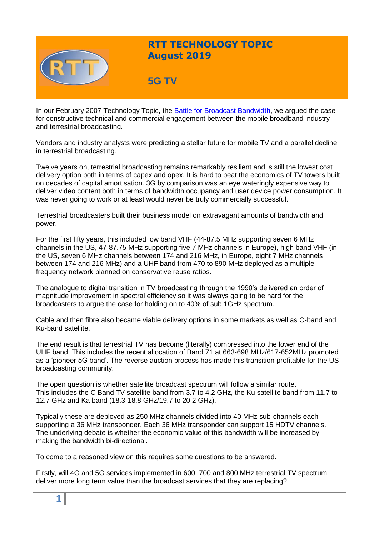

## **RTT TECHNOLOGY TOPIC August 2019**

# **5G TV**

In our February 2007 Technology Topic, the [Battle for Broadcast Bandwidth,](https://www.rttonline.com/tt/TT2007_002.pdf) we argued the case for constructive technical and commercial engagement between the mobile broadband industry and terrestrial broadcasting.

Vendors and industry analysts were predicting a stellar future for mobile TV and a parallel decline in terrestrial broadcasting.

Twelve years on, terrestrial broadcasting remains remarkably resilient and is still the lowest cost delivery option both in terms of capex and opex. It is hard to beat the economics of TV towers built on decades of capital amortisation. 3G by comparison was an eye wateringly expensive way to deliver video content both in terms of bandwidth occupancy and user device power consumption. It was never going to work or at least would never be truly commercially successful.

Terrestrial broadcasters built their business model on extravagant amounts of bandwidth and power.

For the first fifty years, this included low band VHF (44-87.5 MHz supporting seven 6 MHz channels in the US, 47-87.75 MHz supporting five 7 MHz channels in Europe), high band VHF (in the US, seven 6 MHz channels between 174 and 216 MHz, in Europe, eight 7 MHz channels between 174 and 216 MHz) and a UHF band from 470 to 890 MHz deployed as a multiple frequency network planned on conservative reuse ratios.

The analogue to digital transition in TV broadcasting through the 1990's delivered an order of magnitude improvement in spectral efficiency so it was always going to be hard for the broadcasters to argue the case for holding on to 40% of sub 1GHz spectrum.

Cable and then fibre also became viable delivery options in some markets as well as C-band and Ku-band satellite.

The end result is that terrestrial TV has become (literally) compressed into the lower end of the UHF band. This includes the recent allocation of Band 71 at 663-698 MHz/617-652MHz promoted as a 'pioneer 5G band'. The reverse auction process has made this transition profitable for the US broadcasting community.

The open question is whether satellite broadcast spectrum will follow a similar route. This includes the C Band TV satellite band from 3.7 to 4.2 GHz, the Ku satellite band from 11.7 to 12.7 GHz and Ka band (18.3-18.8 GHz/19.7 to 20.2 GHz).

Typically these are deployed as 250 MHz channels divided into 40 MHz sub-channels each supporting a 36 MHz transponder. Each 36 MHz transponder can support 15 HDTV channels. The underlying debate is whether the economic value of this bandwidth will be increased by making the bandwidth bi-directional.

To come to a reasoned view on this requires some questions to be answered.

Firstly, will 4G and 5G services implemented in 600, 700 and 800 MHz terrestrial TV spectrum deliver more long term value than the broadcast services that they are replacing?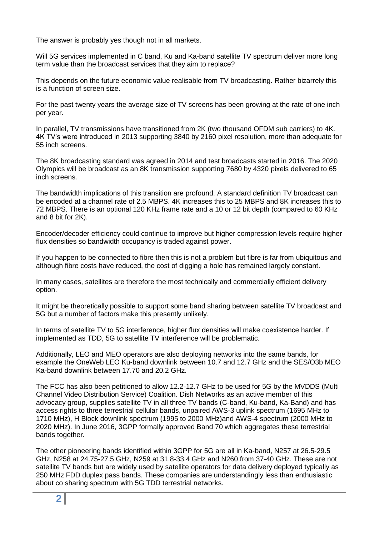The answer is probably yes though not in all markets.

Will 5G services implemented in C band, Ku and Ka-band satellite TV spectrum deliver more long term value than the broadcast services that they aim to replace?

This depends on the future economic value realisable from TV broadcasting. Rather bizarrely this is a function of screen size.

For the past twenty years the average size of TV screens has been growing at the rate of one inch per year.

In parallel, TV transmissions have transitioned from 2K (two thousand OFDM sub carriers) to 4K. 4K TV's were introduced in 2013 supporting 3840 by 2160 pixel resolution, more than adequate for 55 inch screens.

The 8K broadcasting standard was agreed in 2014 and test broadcasts started in 2016. The 2020 Olympics will be broadcast as an 8K transmission supporting 7680 by 4320 pixels delivered to 65 inch screens.

The bandwidth implications of this transition are profound. A standard definition TV broadcast can be encoded at a channel rate of 2.5 MBPS. 4K increases this to 25 MBPS and 8K increases this to 72 MBPS. There is an optional 120 KHz frame rate and a 10 or 12 bit depth (compared to 60 KHz and 8 bit for 2K).

Encoder/decoder efficiency could continue to improve but higher compression levels require higher flux densities so bandwidth occupancy is traded against power.

If you happen to be connected to fibre then this is not a problem but fibre is far from ubiquitous and although fibre costs have reduced, the cost of digging a hole has remained largely constant.

In many cases, satellites are therefore the most technically and commercially efficient delivery option.

It might be theoretically possible to support some band sharing between satellite TV broadcast and 5G but a number of factors make this presently unlikely.

In terms of satellite TV to 5G interference, higher flux densities will make coexistence harder. If implemented as TDD, 5G to satellite TV interference will be problematic.

Additionally, LEO and MEO operators are also deploying networks into the same bands, for example the OneWeb LEO Ku-band downlink between 10.7 and 12.7 GHz and the SES/O3b MEO Ka-band downlink between 17.70 and 20.2 GHz.

The FCC has also been petitioned to allow 12.2-12.7 GHz to be used for 5G by the MVDDS (Multi Channel Video Distribution Service) Coalition. Dish Networks as an active member of this advocacy group, supplies satellite TV in all three TV bands (C-band, Ku-band, Ka-Band) and has access rights to three terrestrial cellular bands, unpaired AWS-3 uplink spectrum (1695 MHz to 1710 MHz), H Block downlink spectrum (1995 to 2000 MHz)and AWS-4 spectrum (2000 MHz to 2020 MHz). In June 2016, 3GPP formally approved Band 70 which aggregates these terrestrial bands together.

The other pioneering bands identified within 3GPP for 5G are all in Ka-band, N257 at 26.5-29.5 GHz, N258 at 24.75-27.5 GHz, N259 at 31.8-33.4 GHz and N260 from 37-40 GHz. These are not satellite TV bands but are widely used by satellite operators for data delivery deployed typically as 250 MHz FDD duplex pass bands. These companies are understandingly less than enthusiastic about co sharing spectrum with 5G TDD terrestrial networks.